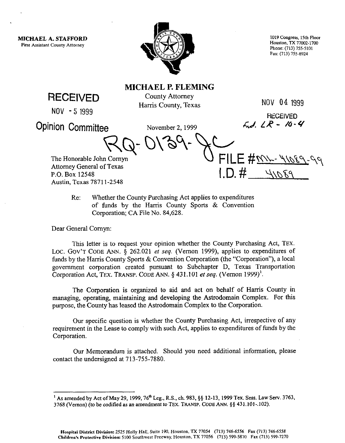**MICHAEL A. STAFFORD First Assistant County Attorney** 



1019 Congress, 15th Floor Houston, TX 77002.1700 Phone: (713) 755.5101 Fax: (713) 755.8924

RECEIVED

**NOV -5 1999** 

**MICHAEL P. FLEMING**  County Attorney Harris County, Texas

**NOV 04 1999** 

 $FILE$  # mu- 41089-

 $1. D. # 41089$ 

Opinion Committee November 2, 1999

RECEIVED<br> $F_{\mathbf{r}}$  /  $F_{\mathbf{r}}$  /  $F_{\mathbf{r}}$  /  $F_{\mathbf{r}}$  /  $F_{\mathbf{r}}$  $\forall$  y  $\cup$  y  $\circ$  y  $\rightarrow$ 

The Honorable John Comyn Attorney General of Texas P.O. Box 12548 Austin. Texas 7871 l-2548

> Re: Whether the County Purchasing Act applies to expenditures of funds by the Harris County Sports & Convention Corporation; CA File No. 84,628.

Dear General Comyn:

This letter is to request your opinion whether the County Purchasing Act, **TEX.**  LOC. GOV'T CODE ANN. § 262.021 et seq. (Vernon 1999), applies to expenditures of funds by the Harris County Sports & Convention Corporation (the "Corporation"), a local government corporation created pursuant to Subchapter D, Texas Transportation Corporation Act, **TEX. TRANSP. CODE ANN. 3 43 1.101 et seq. (Vernon 1999)'.** 

The Corporation is organized to aid and act on behalf of Harris County in managing, operating, maintaining and developing the Astrodomain Complex. For this purpose, the County has leased the Astrodomain Complex to the Corporation.

Our specific question is whether the County Purchasing Act, irrespective of any requirement in the Lease to comply with such Act, applies to expenditures of funds by the Corporation.

Our Memorandum is attached. Should you need additional information, please contact the undersigned at 713-755-7880.

<sup>&</sup>lt;sup>1</sup> As amended by Act of May 29, 1999, 76<sup>th</sup> Leg., R.S., ch. 983, §§ 12-13, 1999 Tex. Sess. Law Serv. 3763, **3768 (Vernon) (to be cc&tied as an amendmento TEX.** TRANSP. CODE ANN. 55 **431.101-.102).**